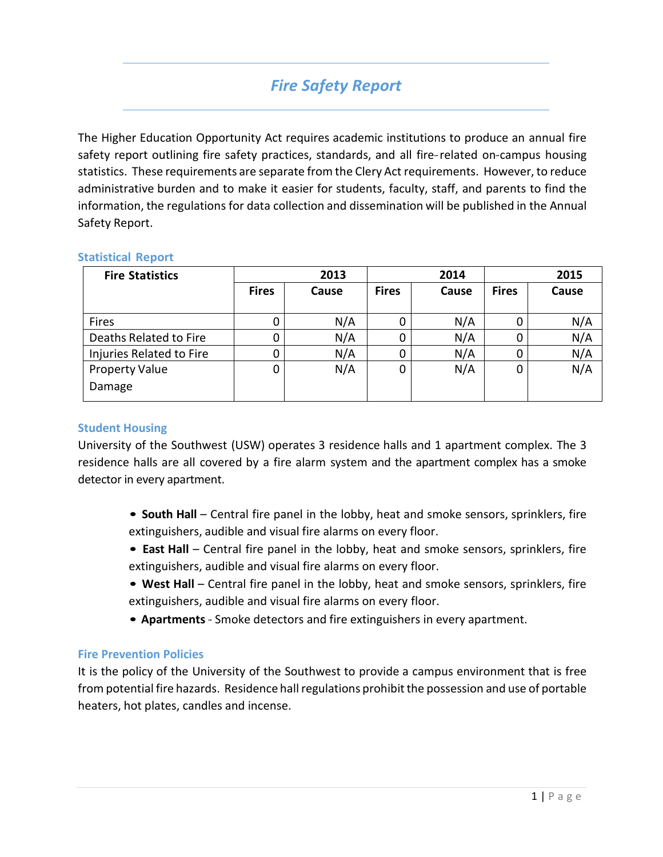## *Fire Safety Report*

The Higher Education Opportunity Act requires academic institutions to produce an annual fire safety report outlining fire safety practices, standards, and all fire-related on-campus housing statistics. These requirements are separate from the Clery Act requirements. However, to reduce administrative burden and to make it easier for students, faculty, staff, and parents to find the information, the regulations for data collection and dissemination will be published in the Annual Safety Report.

| <b>Fire Statistics</b>   | 2013         |       | 2014         |       | 2015         |       |
|--------------------------|--------------|-------|--------------|-------|--------------|-------|
|                          | <b>Fires</b> | Cause | <b>Fires</b> | Cause | <b>Fires</b> | Cause |
| Fires                    | 0            | N/A   | 0            | N/A   |              | N/A   |
| Deaths Related to Fire   | 0            | N/A   | 0            | N/A   |              | N/A   |
| Injuries Related to Fire | 0            | N/A   | 0            | N/A   |              | N/A   |
| <b>Property Value</b>    | 0            | N/A   | 0            | N/A   | 0            | N/A   |
| Damage                   |              |       |              |       |              |       |

## **Statistical Report**

## **Student Housing**

University of the Southwest (USW) operates 3 residence halls and 1 apartment complex. The 3 residence halls are all covered by a fire alarm system and the apartment complex has a smoke detector in every apartment.

- **South Hall**  Central fire panel in the lobby, heat and smoke sensors, sprinklers, fire extinguishers, audible and visual fire alarms on every floor.
- **East Hall** Central fire panel in the lobby, heat and smoke sensors, sprinklers, fire extinguishers, audible and visual fire alarms on every floor.
- **West Hall** Central fire panel in the lobby, heat and smoke sensors, sprinklers, fire extinguishers, audible and visual fire alarms on every floor.
- **Apartments** Smoke detectors and fire extinguishers in every apartment.

## **Fire Prevention Policies**

It is the policy of the University of the Southwest to provide a campus environment that is free from potential fire hazards. Residence hall regulations prohibit the possession and use of portable heaters, hot plates, candles and incense.